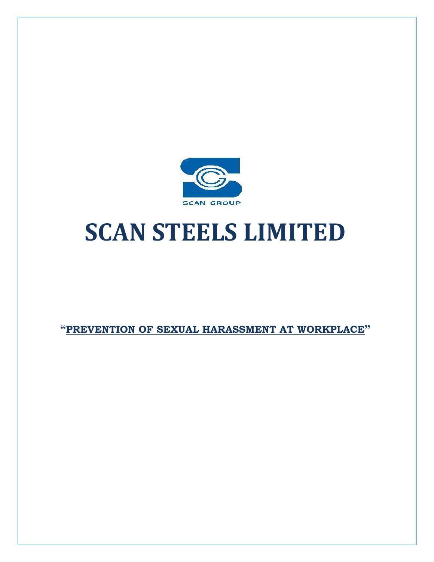

# **SCAN STEELS LIMITED**

**"PREVENTION OF SEXUAL HARASSMENT AT WORKPLACE"**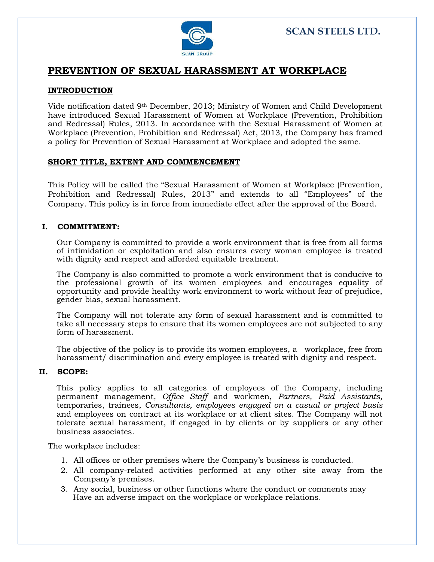

## **PREVENTION OF SEXUAL HARASSMENT AT WORKPLACE**

#### **INTRODUCTION**

Vide notification dated 9th December, 2013; Ministry of Women and Child Development have introduced Sexual Harassment of Women at Workplace (Prevention, Prohibition and Redressal) Rules, 2013. In accordance with the Sexual Harassment of Women at Workplace (Prevention, Prohibition and Redressal) Act, 2013, the Company has framed a policy for Prevention of Sexual Harassment at Workplace and adopted the same.

#### **SHORT TITLE, EXTENT AND COMMENCEMENT**

This Policy will be called the "Sexual Harassment of Women at Workplace (Prevention, Prohibition and Redressal) Rules, 2013" and extends to all "Employees" of the Company. This policy is in force from immediate effect after the approval of the Board.

#### **I. COMMITMENT:**

Our Company is committed to provide a work environment that is free from all forms of intimidation or exploitation and also ensures every woman employee is treated with dignity and respect and afforded equitable treatment.

The Company is also committed to promote a work environment that is conducive to the professional growth of its women employees and encourages equality of opportunity and provide healthy work environment to work without fear of prejudice, gender bias, sexual harassment.

The Company will not tolerate any form of sexual harassment and is committed to take all necessary steps to ensure that its women employees are not subjected to any form of harassment.

The objective of the policy is to provide its women employees, a workplace, free from harassment/ discrimination and every employee is treated with dignity and respect.

#### **II. SCOPE:**

This policy applies to all categories of employees of the Company, including permanent management, *Office Staff* and workmen, *Partners, Paid Assistants,*  temporaries, trainees, *Consultants, employees engaged on a casual or project basis* and employees on contract at its workplace or at client sites. The Company will not tolerate sexual harassment, if engaged in by clients or by suppliers or any other business associates.

The workplace includes:

- 1. All offices or other premises where the Company's business is conducted.
- 2. All company-related activities performed at any other site away from the Company's premises.
- 3. Any social, business or other functions where the conduct or comments may Have an adverse impact on the workplace or workplace relations.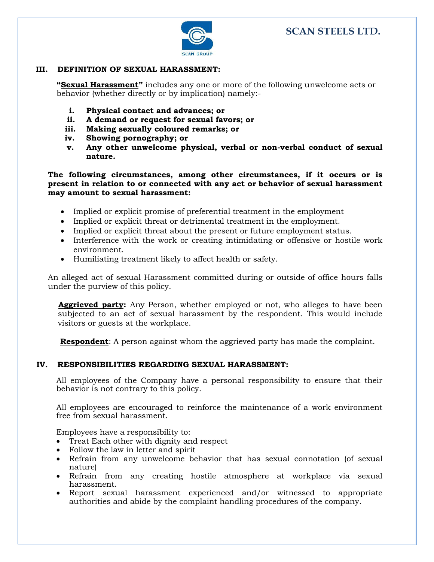

#### **III. DEFINITION OF SEXUAL HARASSMENT:**

**"Sexual Harassment"** includes any one or more of the following unwelcome acts or behavior (whether directly or by implication) namely:-

- **i. Physical contact and advances; or**
- **ii. A demand or request for sexual favors; or**
- **iii. Making sexually coloured remarks; or**
- **iv. Showing pornography; or**
- **v. Any other unwelcome physical, verbal or non-verbal conduct of sexual nature.**

**The following circumstances, among other circumstances, if it occurs or is present in relation to or connected with any act or behavior of sexual harassment may amount to sexual harassment:**

- Implied or explicit promise of preferential treatment in the employment
- Implied or explicit threat or detrimental treatment in the employment.
- Implied or explicit threat about the present or future employment status.
- Interference with the work or creating intimidating or offensive or hostile work environment.
- Humiliating treatment likely to affect health or safety.

An alleged act of sexual Harassment committed during or outside of office hours falls under the purview of this policy.

 **Aggrieved party:** Any Person, whether employed or not, who alleges to have been subjected to an act of sexual harassment by the respondent. This would include visitors or guests at the workplace.

**Respondent**: A person against whom the aggrieved party has made the complaint.

#### **IV. RESPONSIBILITIES REGARDING SEXUAL HARASSMENT:**

All employees of the Company have a personal responsibility to ensure that their behavior is not contrary to this policy.

All employees are encouraged to reinforce the maintenance of a work environment free from sexual harassment.

Employees have a responsibility to:

- Treat Each other with dignity and respect
- Follow the law in letter and spirit
- Refrain from any unwelcome behavior that has sexual connotation (of sexual nature)
- Refrain from any creating hostile atmosphere at workplace via sexual harassment.
- Report sexual harassment experienced and/or witnessed to appropriate authorities and abide by the complaint handling procedures of the company.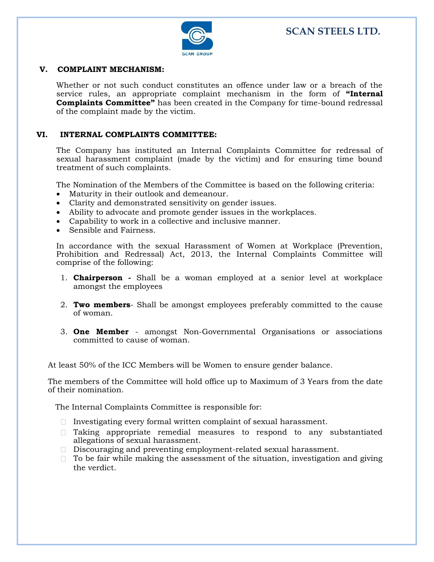

#### **V. COMPLAINT MECHANISM:**

Whether or not such conduct constitutes an offence under law or a breach of the service rules, an appropriate complaint mechanism in the form of **"Internal Complaints Committee"** has been created in the Company for time-bound redressal of the complaint made by the victim.

#### **VI. INTERNAL COMPLAINTS COMMITTEE:**

The Company has instituted an Internal Complaints Committee for redressal of sexual harassment complaint (made by the victim) and for ensuring time bound treatment of such complaints.

The Nomination of the Members of the Committee is based on the following criteria:

- Maturity in their outlook and demeanour.
- Clarity and demonstrated sensitivity on gender issues.
- Ability to advocate and promote gender issues in the workplaces.
- Capability to work in a collective and inclusive manner.
- Sensible and Fairness.

In accordance with the sexual Harassment of Women at Workplace (Prevention, Prohibition and Redressal) Act, 2013, the Internal Complaints Committee will comprise of the following:

- 1. **Chairperson -** Shall be a woman employed at a senior level at workplace amongst the employees
- 2. **Two members** Shall be amongst employees preferably committed to the cause of woman.
- 3. **One Member**  amongst Non-Governmental Organisations or associations committed to cause of woman.

At least 50% of the ICC Members will be Women to ensure gender balance.

The members of the Committee will hold office up to Maximum of 3 Years from the date of their nomination.

The Internal Complaints Committee is responsible for:

- Investigating every formal written complaint of sexual harassment.
- $\Box$  Taking appropriate remedial measures to respond to any substantiated allegations of sexual harassment.
- $\Box$  Discouraging and preventing employment-related sexual harassment.
- $\Box$  To be fair while making the assessment of the situation, investigation and giving the verdict.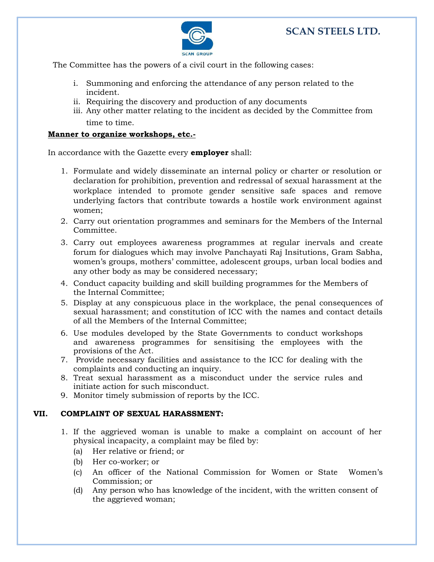

The Committee has the powers of a civil court in the following cases:

- i. Summoning and enforcing the attendance of any person related to the incident.
- ii. Requiring the discovery and production of any documents
- iii. Any other matter relating to the incident as decided by the Committee from time to time.

#### **Manner to organize workshops, etc.-**

In accordance with the Gazette every **employer** shall:

- 1. Formulate and widely disseminate an internal policy or charter or resolution or declaration for prohibition, prevention and redressal of sexual harassment at the workplace intended to promote gender sensitive safe spaces and remove underlying factors that contribute towards a hostile work environment against women;
- 2. Carry out orientation programmes and seminars for the Members of the Internal Committee.
- 3. Carry out employees awareness programmes at regular inervals and create forum for dialogues which may involve Panchayati Raj Insitutions, Gram Sabha, women's groups, mothers' committee, adolescent groups, urban local bodies and any other body as may be considered necessary;
- 4. Conduct capacity building and skill building programmes for the Members of the Internal Committee;
- 5. Display at any conspicuous place in the workplace, the penal consequences of sexual harassment; and constitution of ICC with the names and contact details of all the Members of the Internal Committee;
- 6. Use modules developed by the State Governments to conduct workshops and awareness programmes for sensitising the employees with the provisions of the Act.
- 7. Provide necessary facilities and assistance to the ICC for dealing with the complaints and conducting an inquiry.
- 8. Treat sexual harassment as a misconduct under the service rules and initiate action for such misconduct.
- 9. Monitor timely submission of reports by the ICC.

#### **VII. COMPLAINT OF SEXUAL HARASSMENT:**

- 1. If the aggrieved woman is unable to make a complaint on account of her physical incapacity, a complaint may be filed by:
	- (a) Her relative or friend; or
	- (b) Her co-worker; or
	- (c) An officer of the National Commission for Women or State Women's Commission; or
	- (d) Any person who has knowledge of the incident, with the written consent of the aggrieved woman;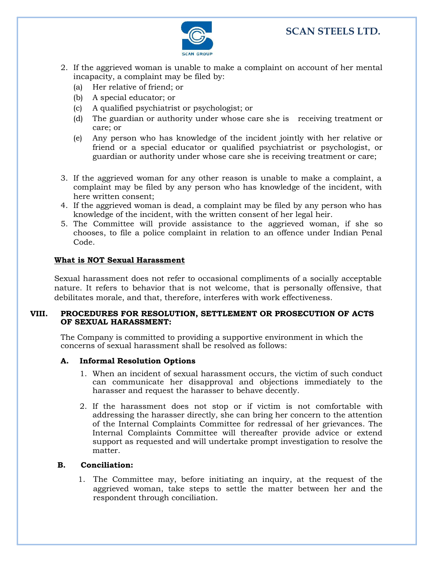

- 2. If the aggrieved woman is unable to make a complaint on account of her mental incapacity, a complaint may be filed by:
	- (a) Her relative of friend; or
	- (b) A special educator; or
	- (c) A qualified psychiatrist or psychologist; or
	- (d) The guardian or authority under whose care she is receiving treatment or care; or
	- (e) Any person who has knowledge of the incident jointly with her relative or friend or a special educator or qualified psychiatrist or psychologist, or guardian or authority under whose care she is receiving treatment or care;
- 3. If the aggrieved woman for any other reason is unable to make a complaint, a complaint may be filed by any person who has knowledge of the incident, with here written consent;
- 4. If the aggrieved woman is dead, a complaint may be filed by any person who has knowledge of the incident, with the written consent of her legal heir.
- 5. The Committee will provide assistance to the aggrieved woman, if she so chooses, to file a police complaint in relation to an offence under Indian Penal Code.

#### **What is NOT Sexual Harassment**

Sexual harassment does not refer to occasional compliments of a socially acceptable nature. It refers to behavior that is not welcome, that is personally offensive, that debilitates morale, and that, therefore, interferes with work effectiveness.

#### **VIII. PROCEDURES FOR RESOLUTION, SETTLEMENT OR PROSECUTION OF ACTS OF SEXUAL HARASSMENT:**

The Company is committed to providing a supportive environment in which the concerns of sexual harassment shall be resolved as follows:

#### **A. Informal Resolution Options**

- 1. When an incident of sexual harassment occurs, the victim of such conduct can communicate her disapproval and objections immediately to the harasser and request the harasser to behave decently.
- 2. If the harassment does not stop or if victim is not comfortable with addressing the harasser directly, she can bring her concern to the attention of the Internal Complaints Committee for redressal of her grievances. The Internal Complaints Committee will thereafter provide advice or extend support as requested and will undertake prompt investigation to resolve the matter.

#### **B. Conciliation:**

1. The Committee may, before initiating an inquiry, at the request of the aggrieved woman, take steps to settle the matter between her and the respondent through conciliation.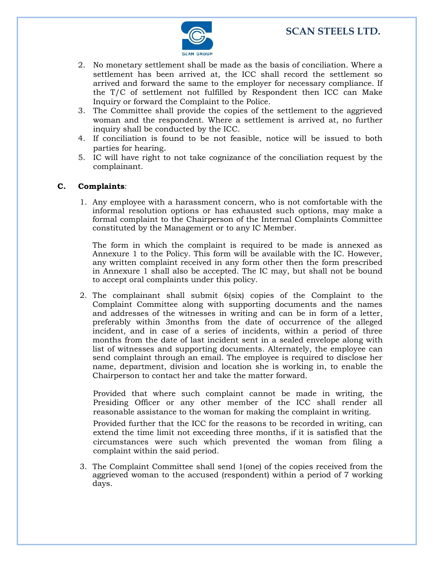

- 2. No monetary settlement shall be made as the basis of conciliation. Where a settlement has been arrived at, the ICC shall record the settlement so arrived and forward the same to the employer for necessary compliance. If the T/C of settlement not fulfilled by Respondent then ICC can Make Inquiry or forward the Complaint to the Police.
- 3. The Committee shall provide the copies of the settlement to the aggrieved woman and the respondent. Where a settlement is arrived at, no further inquiry shall be conducted by the ICC.
- 4. If conciliation is found to be not feasible, notice will be issued to both parties for hearing.
- 5. IC will have right to not take cognizance of the conciliation request by the complainant.

#### **C. Complaints**:

1. Any employee with a harassment concern, who is not comfortable with the informal resolution options or has exhausted such options, may make a formal complaint to the Chairperson of the Internal Complaints Committee constituted by the Management or to any IC Member.

The form in which the complaint is required to be made is annexed as Annexure 1 to the Policy. This form will be available with the IC. However, any written complaint received in any form other then the form prescribed in Annexure 1 shall also be accepted. The IC may, but shall not be bound to accept oral complaints under this policy.

2. The complainant shall submit 6(six) copies of the Complaint to the Complaint Committee along with supporting documents and the names and addresses of the witnesses in writing and can be in form of a letter, preferably within 3months from the date of occurrence of the alleged incident, and in case of a series of incidents, within a period of three months from the date of last incident sent in a sealed envelope along with list of witnesses and supporting documents. Alternately, the employee can send complaint through an email. The employee is required to disclose her name, department, division and location she is working in, to enable the Chairperson to contact her and take the matter forward.

Provided that where such complaint cannot be made in writing, the Presiding Officer or any other member of the ICC shall render all reasonable assistance to the woman for making the complaint in writing.

Provided further that the ICC for the reasons to be recorded in writing, can extend the time limit not exceeding three months, if it is satisfied that the circumstances were such which prevented the woman from filing a complaint within the said period.

3. The Complaint Committee shall send 1(one) of the copies received from the aggrieved woman to the accused (respondent) within a period of 7 working days.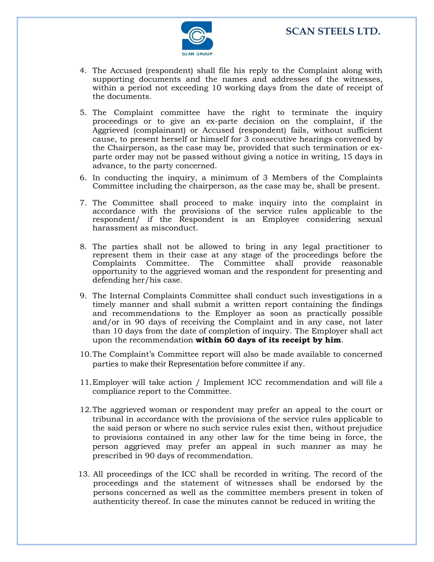

- 4. The Accused (respondent) shall file his reply to the Complaint along with supporting documents and the names and addresses of the witnesses, within a period not exceeding 10 working days from the date of receipt of the documents.
- 5. The Complaint committee have the right to terminate the inquiry proceedings or to give an ex-parte decision on the complaint, if the Aggrieved (complainant) or Accused (respondent) fails, without sufficient cause, to present herself or himself for 3 consecutive hearings convened by the Chairperson, as the case may be, provided that such termination or exparte order may not be passed without giving a notice in writing, 15 days in advance, to the party concerned.
- 6. In conducting the inquiry, a minimum of 3 Members of the Complaints Committee including the chairperson, as the case may be, shall be present.
- 7. The Committee shall proceed to make inquiry into the complaint in accordance with the provisions of the service rules applicable to the respondent/ if the Respondent is an Employee considering sexual harassment as misconduct.
- 8. The parties shall not be allowed to bring in any legal practitioner to represent them in their case at any stage of the proceedings before the Complaints Committee. The Committee shall provide reasonable opportunity to the aggrieved woman and the respondent for presenting and defending her/his case.
- 9. The Internal Complaints Committee shall conduct such investigations in a timely manner and shall submit a written report containing the findings and recommendations to the Employer as soon as practically possible and/or in 90 days of receiving the Complaint and in any case, not later than 10 days from the date of completion of inquiry. The Employer shall act upon the recommendation **within 60 days of its receipt by him**.
- 10.The Complaint's Committee report will also be made available to concerned parties to make their Representation before committee if any.
- 11.Employer will take action / Implement ICC recommendation and will file a compliance report to the Committee.
- 12.The aggrieved woman or respondent may prefer an appeal to the court or tribunal in accordance with the provisions of the service rules applicable to the said person or where no such service rules exist then, without prejudice to provisions contained in any other law for the time being in force, the person aggrieved may prefer an appeal in such manner as may he prescribed in 90 days of recommendation.
- 13. All proceedings of the ICC shall be recorded in writing. The record of the proceedings and the statement of witnesses shall be endorsed by the persons concerned as well as the committee members present in token of authenticity thereof. In case the minutes cannot be reduced in writing the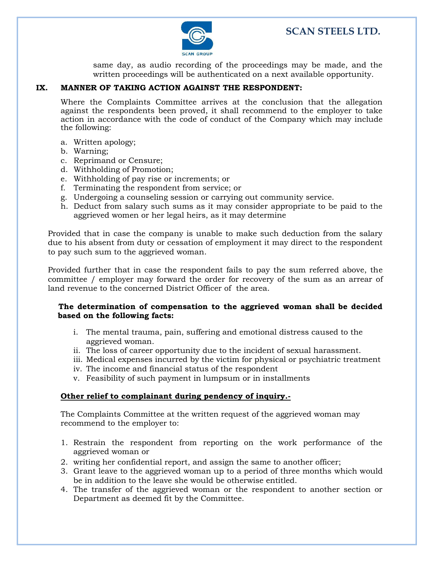

same day, as audio recording of the proceedings may be made, and the written proceedings will be authenticated on a next available opportunity.

#### **IX. MANNER OF TAKING ACTION AGAINST THE RESPONDENT:**

Where the Complaints Committee arrives at the conclusion that the allegation against the respondents been proved, it shall recommend to the employer to take action in accordance with the code of conduct of the Company which may include the following:

- a. Written apology;
- b. Warning;
- c. Reprimand or Censure;
- d. Withholding of Promotion;
- e. Withholding of pay rise or increments; or
- f. Terminating the respondent from service; or
- g. Undergoing a counseling session or carrying out community service.
- h. Deduct from salary such sums as it may consider appropriate to be paid to the aggrieved women or her legal heirs, as it may determine

Provided that in case the company is unable to make such deduction from the salary due to his absent from duty or cessation of employment it may direct to the respondent to pay such sum to the aggrieved woman.

Provided further that in case the respondent fails to pay the sum referred above, the committee / employer may forward the order for recovery of the sum as an arrear of land revenue to the concerned District Officer of the area.

#### **The determination of compensation to the aggrieved woman shall be decided based on the following facts:**

- i. The mental trauma, pain, suffering and emotional distress caused to the aggrieved woman.
- ii. The loss of career opportunity due to the incident of sexual harassment.
- iii. Medical expenses incurred by the victim for physical or psychiatric treatment
- iv. The income and financial status of the respondent
- v. Feasibility of such payment in lumpsum or in installments

#### **Other relief to complainant during pendency of inquiry.-**

The Complaints Committee at the written request of the aggrieved woman may recommend to the employer to:

- 1. Restrain the respondent from reporting on the work performance of the aggrieved woman or
- 2. writing her confidential report, and assign the same to another officer;
- 3. Grant leave to the aggrieved woman up to a period of three months which would be in addition to the leave she would be otherwise entitled.
- 4. The transfer of the aggrieved woman or the respondent to another section or Department as deemed fit by the Committee.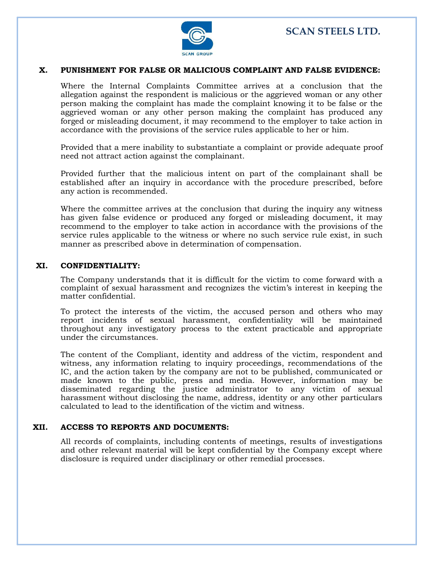

#### **X. PUNISHMENT FOR FALSE OR MALICIOUS COMPLAINT AND FALSE EVIDENCE:**

Where the Internal Complaints Committee arrives at a conclusion that the allegation against the respondent is malicious or the aggrieved woman or any other person making the complaint has made the complaint knowing it to be false or the aggrieved woman or any other person making the complaint has produced any forged or misleading document, it may recommend to the employer to take action in accordance with the provisions of the service rules applicable to her or him.

Provided that a mere inability to substantiate a complaint or provide adequate proof need not attract action against the complainant.

Provided further that the malicious intent on part of the complainant shall be established after an inquiry in accordance with the procedure prescribed, before any action is recommended.

Where the committee arrives at the conclusion that during the inquiry any witness has given false evidence or produced any forged or misleading document, it may recommend to the employer to take action in accordance with the provisions of the service rules applicable to the witness or where no such service rule exist, in such manner as prescribed above in determination of compensation.

#### **XI. CONFIDENTIALITY:**

The Company understands that it is difficult for the victim to come forward with a complaint of sexual harassment and recognizes the victim's interest in keeping the matter confidential.

To protect the interests of the victim, the accused person and others who may report incidents of sexual harassment, confidentiality will be maintained throughout any investigatory process to the extent practicable and appropriate under the circumstances.

The content of the Compliant, identity and address of the victim, respondent and witness, any information relating to inquiry proceedings, recommendations of the IC, and the action taken by the company are not to be published, communicated or made known to the public, press and media. However, information may be disseminated regarding the justice administrator to any victim of sexual harassment without disclosing the name, address, identity or any other particulars calculated to lead to the identification of the victim and witness.

#### **XII. ACCESS TO REPORTS AND DOCUMENTS:**

All records of complaints, including contents of meetings, results of investigations and other relevant material will be kept confidential by the Company except where disclosure is required under disciplinary or other remedial processes.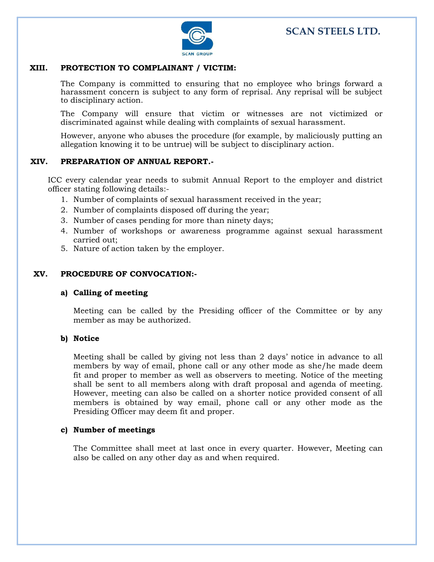

#### **XIII. PROTECTION TO COMPLAINANT / VICTIM:**

The Company is committed to ensuring that no employee who brings forward a harassment concern is subject to any form of reprisal. Any reprisal will be subject to disciplinary action.

The Company will ensure that victim or witnesses are not victimized or discriminated against while dealing with complaints of sexual harassment.

However, anyone who abuses the procedure (for example, by maliciously putting an allegation knowing it to be untrue) will be subject to disciplinary action.

#### **XIV. PREPARATION OF ANNUAL REPORT.-**

ICC every calendar year needs to submit Annual Report to the employer and district officer stating following details:-

- 1. Number of complaints of sexual harassment received in the year;
- 2. Number of complaints disposed off during the year;
- 3. Number of cases pending for more than ninety days;
- 4. Number of workshops or awareness programme against sexual harassment carried out;
- 5. Nature of action taken by the employer.

#### **XV. PROCEDURE OF CONVOCATION:-**

#### **a) Calling of meeting**

Meeting can be called by the Presiding officer of the Committee or by any member as may be authorized.

#### **b) Notice**

Meeting shall be called by giving not less than 2 days' notice in advance to all members by way of email, phone call or any other mode as she/he made deem fit and proper to member as well as observers to meeting. Notice of the meeting shall be sent to all members along with draft proposal and agenda of meeting. However, meeting can also be called on a shorter notice provided consent of all members is obtained by way email, phone call or any other mode as the Presiding Officer may deem fit and proper.

#### **c) Number of meetings**

The Committee shall meet at last once in every quarter. However, Meeting can also be called on any other day as and when required.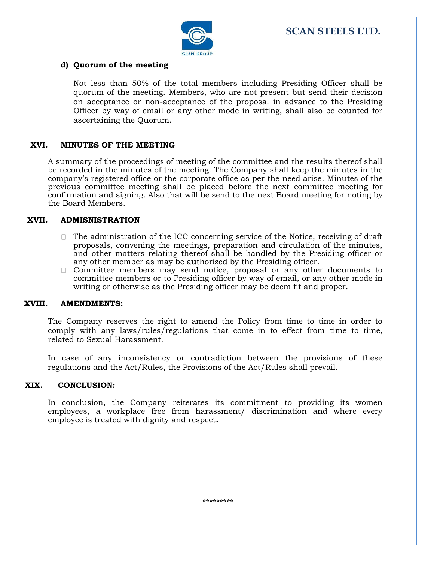

#### **d) Quorum of the meeting**

Not less than 50% of the total members including Presiding Officer shall be quorum of the meeting. Members, who are not present but send their decision on acceptance or non-acceptance of the proposal in advance to the Presiding Officer by way of email or any other mode in writing, shall also be counted for ascertaining the Quorum.

#### **XVI. MINUTES OF THE MEETING**

A summary of the proceedings of meeting of the committee and the results thereof shall be recorded in the minutes of the meeting. The Company shall keep the minutes in the company's registered office or the corporate office as per the need arise. Minutes of the previous committee meeting shall be placed before the next committee meeting for confirmation and signing. Also that will be send to the next Board meeting for noting by the Board Members.

#### **XVII. ADMISNISTRATION**

- $\Box$  The administration of the ICC concerning service of the Notice, receiving of draft proposals, convening the meetings, preparation and circulation of the minutes, and other matters relating thereof shall be handled by the Presiding officer or any other member as may be authorized by the Presiding officer.
- Committee members may send notice, proposal or any other documents to committee members or to Presiding officer by way of email, or any other mode in writing or otherwise as the Presiding officer may be deem fit and proper.

#### **XVIII. AMENDMENTS:**

The Company reserves the right to amend the Policy from time to time in order to comply with any laws/rules/regulations that come in to effect from time to time, related to Sexual Harassment.

In case of any inconsistency or contradiction between the provisions of these regulations and the Act/Rules, the Provisions of the Act/Rules shall prevail.

#### **XIX. CONCLUSION:**

In conclusion, the Company reiterates its commitment to providing its women employees, a workplace free from harassment/ discrimination and where every employee is treated with dignity and respect**.**

\*\*\*\*\*\*\*\*\*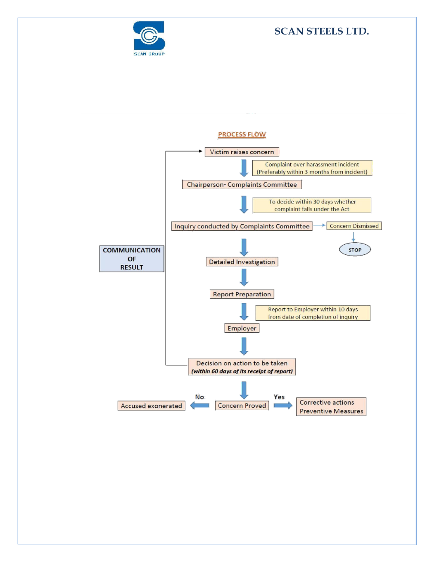

# **SCAN STEELS LTD.**



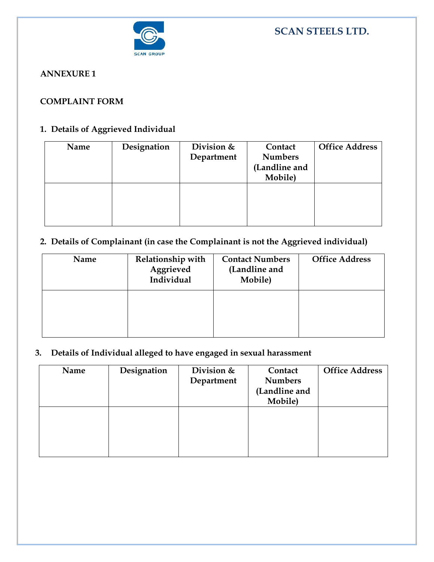

#### **ANNEXURE 1**

### **COMPLAINT FORM**

## **1. Details of Aggrieved Individual**

| Name | Designation | Division $&$<br>Department | Contact<br><b>Numbers</b><br>(Landline and<br>Mobile) | <b>Office Address</b> |
|------|-------------|----------------------------|-------------------------------------------------------|-----------------------|
|      |             |                            |                                                       |                       |

## **2. Details of Complainant (in case the Complainant is not the Aggrieved individual)**

| Name | Relationship with<br>Aggrieved<br>Individual | <b>Contact Numbers</b><br>(Landline and<br>Mobile) | <b>Office Address</b> |
|------|----------------------------------------------|----------------------------------------------------|-----------------------|
|      |                                              |                                                    |                       |

# **3. Details of Individual alleged to have engaged in sexual harassment**

| Name | Designation | Division &<br>Department | Contact<br><b>Numbers</b> | <b>Office Address</b> |
|------|-------------|--------------------------|---------------------------|-----------------------|
|      |             |                          | (Landline and             |                       |
|      |             |                          | Mobile)                   |                       |
|      |             |                          |                           |                       |
|      |             |                          |                           |                       |
|      |             |                          |                           |                       |
|      |             |                          |                           |                       |
|      |             |                          |                           |                       |